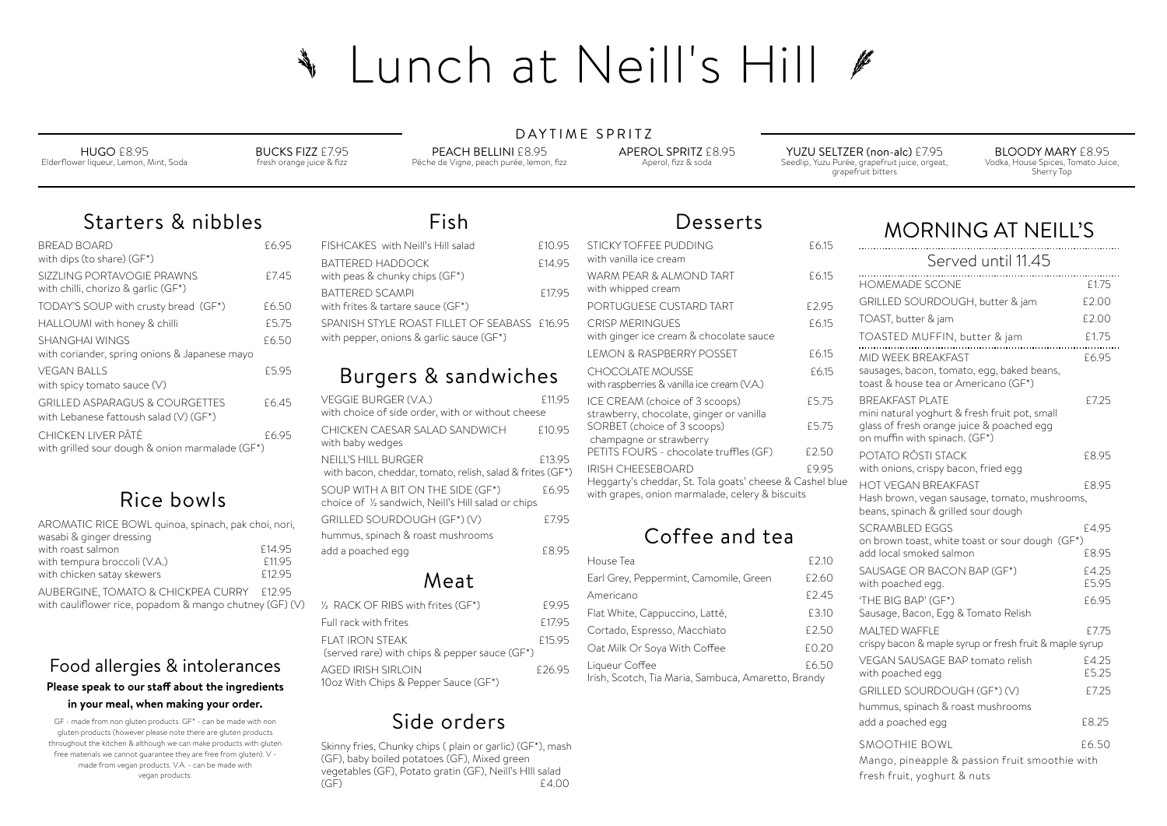DAYTIME SPRITZ

### Food allergies & intolerances **Please speak to our staf about the ingredients in your meal, when making your order.**

GF - made from non gluten products. GF\* - can be made with non gluten products (however please note there are gluten products throughout the kitchen & although we can make products with gluten free materials we cannot guarantee they are free from gluten). V made from vegan products. V.A. - can be made with vegan products.

## Starters & nibbles

| BRFAD BOARD<br>with dips (to share) (GF*)                                           | £6.95 |
|-------------------------------------------------------------------------------------|-------|
| SIZZLING PORTAVOGIE PRAWNS<br>with chilli, chorizo & garlic (GF*)                   | £7.45 |
| TODAY'S SOUP with crusty bread (GF*)                                                | £6.50 |
| HALLOUMI with honey & chilli                                                        | £5.75 |
| <b>SHANGHAI WINGS</b><br>with coriander, spring onions & Japanese mayo              | £6.50 |
| VEGAN BALLS<br>with spicy tomato sauce (V)                                          | £5.95 |
| <b>GRILLED ASPARAGUS &amp; COURGETTES</b><br>with Lebanese fattoush salad (V) (GF*) | £6.45 |
| CHICKEN LIVER PÂTÉ<br>with grilled sour dough & onion marmalade (GF*)               | £6.95 |

# Rice bowls

| AROMATIC RICE BOWL quinoa, spinach, pak choi, nori, |                    |
|-----------------------------------------------------|--------------------|
| wasabi & ginger dressing                            |                    |
| with roast salmon                                   | £14.95             |
| with tempura broccoli (V.A.)                        | £11.95             |
| with chicken satay skewers                          | F <sub>12.95</sub> |
|                                                     |                    |

AUBERGINE, TOMATO & CHICKPEA CURRY £12.95 with cauliflower rice, popadom & mango chutney (GF) (V)

# Desserts

PEACH BELLINI £8.95 Péche de Vigne, peach purée, lemon, fizz

Fish

| FISHCAKES with Neill's Hill salad                                                        | £10.95 |
|------------------------------------------------------------------------------------------|--------|
| BATTERED HADDOCK<br>with peas & chunky chips (GF*)                                       | F14.95 |
| BATTERED SCAMPI<br>with frites & tartare sauce (GF*)                                     | £17.95 |
| SPANISH STYLE ROAST FILLET OF SFABASS £16.95<br>with pepper, onions & garlic sauce (GF*) |        |
|                                                                                          |        |

# Burgers & sandwiches

| VEGGIE BURGER (V.A.)<br>with choice of side order, with or without cheese                | £11.95 |
|------------------------------------------------------------------------------------------|--------|
| CHICKEN CAESAR SAI AD SANDWICH<br>with baby wedges                                       | £10.95 |
| NEILL'S HILL BURGER<br>with bacon, cheddar, tomato, relish, salad & frites (GF*)         | £13.95 |
| SOUP WITH A BIT ON THE SIDE (GF*)<br>choice of 1/2 sandwich, Neill's Hill salad or chips | £6.95  |
| GRILLED SOURDOUGH (GF*) (V)                                                              | £7.95  |
| hummus, spinach & roast mushrooms                                                        |        |
| add a poached egg                                                                        | F895   |
|                                                                                          |        |

## Meat

| $\frac{1}{2}$ RACK OF RIBS with frites (GF*)                        | £9.95  |
|---------------------------------------------------------------------|--------|
| Full rack with frites                                               | £17.95 |
| FLAT IRON STEAK<br>(served rare) with chips $\&$ pepper sauce (GF*) | £15.95 |
| AGED IRISH SIRI OIN<br>10oz With Chips & Pepper Sauce (GF*)         | £26.95 |

| STICKY TOFFEE PUDDING                                                                                       | £6.15 |                                                                                                                    |                |
|-------------------------------------------------------------------------------------------------------------|-------|--------------------------------------------------------------------------------------------------------------------|----------------|
| with vanilla ice cream                                                                                      |       | Served until 11.45                                                                                                 |                |
| WARM PEAR & ALMOND TART<br>with whipped cream                                                               | £6.15 | <b>HOMEMADE SCONE</b>                                                                                              | £1.75          |
| PORTUGUESE CUSTARD TART                                                                                     | £2.95 | GRILLED SOURDOUGH, butter & jam                                                                                    | £2.00          |
| <b>CRISP MERINGUES</b>                                                                                      | £6.15 | TOAST, butter & jam                                                                                                | £2.00          |
| with ginger ice cream & chocolate sauce                                                                     |       | TOASTED MUFFIN, butter & jam                                                                                       | £1.75          |
| <b>LEMON &amp; RASPBERRY POSSET</b>                                                                         | £6.15 | MID WEEK BREAKFAST                                                                                                 | £6.95          |
| <b>CHOCOLATE MOUSSE</b><br>with raspberries & vanilla ice cream (V.A.)                                      | £6.15 | sausages, bacon, tomato, egg, baked beans,<br>toast & house tea or Americano (GF*)                                 |                |
| ICE CREAM (choice of 3 scoops)                                                                              | £5.75 | <b>BREAKFAST PLATE</b>                                                                                             | £7.25          |
| strawberry, chocolate, ginger or vanilla<br>SORBET (choice of 3 scoops)                                     | £5.75 | mini natural yoghurt & fresh fruit pot, small<br>glass of fresh orange juice & poached egg                         |                |
| champagne or strawberry                                                                                     |       | on muffin with spinach. (GF*)                                                                                      |                |
| PETITS FOURS - chocolate truffles (GF)                                                                      | £2.50 | POTATO RÔSTI STACK                                                                                                 | £8.95          |
| <b>IRISH CHEESEBOARD</b>                                                                                    | £9.95 | with onions, crispy bacon, fried egg                                                                               |                |
| Heggarty's cheddar, St. Tola goats' cheese & Cashel blue<br>with grapes, onion marmalade, celery & biscuits |       | <b>HOT VEGAN BREAKFAST</b><br>Hash brown, vegan sausage, tomato, mushrooms,<br>beans, spinach & grilled sour dough | £8.95          |
| Coffee and tea                                                                                              |       | <b>SCRAMBLED EGGS</b><br>on brown toast, white toast or sour dough (GF*)                                           | £4.95          |
| House Tea                                                                                                   | £2.10 | add local smoked salmon                                                                                            | £8.95          |
| Earl Grey, Peppermint, Camomile, Green                                                                      | £2.60 | SAUSAGE OR BACON BAP (GF*)<br>with poached egg.                                                                    | £4.25<br>£5.95 |
| Americano                                                                                                   | £2.45 | 'THE BIG BAP' (GF*)                                                                                                | £6.95          |
| Flat White, Cappuccino, Latté,                                                                              | £3.10 | Sausage, Bacon, Egg & Tomato Relish                                                                                |                |
| Cortado, Espresso, Macchiato                                                                                | £2.50 | <b>MALTED WAFFLE</b>                                                                                               | £7.75          |
| Oat Milk Or Soya With Coffee                                                                                | £0.20 | crispy bacon & maple syrup or fresh fruit & maple syrup                                                            |                |
| Liqueur Coffee<br>Irish, Scotch, Tia Maria, Sambuca, Amaretto, Brandy                                       | £6.50 | VEGAN SAUSAGE BAP tomato relish<br>with poached egg                                                                | £4.25<br>£5.25 |
|                                                                                                             |       | GRILLED SOURDOUGH (GF*) (V)                                                                                        | £7.25          |
|                                                                                                             |       | hummus, spinach & roast mushrooms                                                                                  |                |
|                                                                                                             |       | add a poached egg                                                                                                  | £8.25          |
|                                                                                                             |       | <b>SMOOTHIE BOWL</b>                                                                                               | £6.50          |
|                                                                                                             |       | Mango, pineapple & passion fruit smoothie with                                                                     |                |
|                                                                                                             |       | fresh fruit, yoghurt & nuts                                                                                        |                |

| House Tea                                          | £2.10 |  |
|----------------------------------------------------|-------|--|
| Earl Grey, Peppermint, Camomile, Green             | £2.60 |  |
| Americano                                          | £2.45 |  |
| Flat White, Cappuccino, Latté,                     | £3.10 |  |
| Cortado, Espresso, Macchiato                       | £2.50 |  |
| Oat Milk Or Soya With Coffee                       | £0.20 |  |
| Liqueur Coffee                                     | £6.50 |  |
| rish, Scotch, Tia Maria, Sambuca, Amaretto, Brandy |       |  |

# Side orders

Skinny fries, Chunky chips ( plain or garlic) (GF\*), mash (GF), baby boiled potatoes (GF), Mixed green vegetables (GF), Potato gratin (GF), Neill's HIll salad (GF) £4.00

# Lunch at Neill's Hill # ANGER OF THE AUTHORITY

HUGO £8.95 Elderflower liqueur, Lemon, Mint, Soda BUCKS FIZZ £7.95 fresh orange juice & fizz APEROL SPRITZ £8.95 Aperol, fizz & soda

YUZU SELTZER (non-alc) £7.95 Seedlip, Yuzu Purée, grapefruit juice, orgeat, grapefruit bitters

BLOODY MARY £8.95 Vodka, House Spices, Tomato Juice, Sherry Top

## MORNING AT NEILL'S